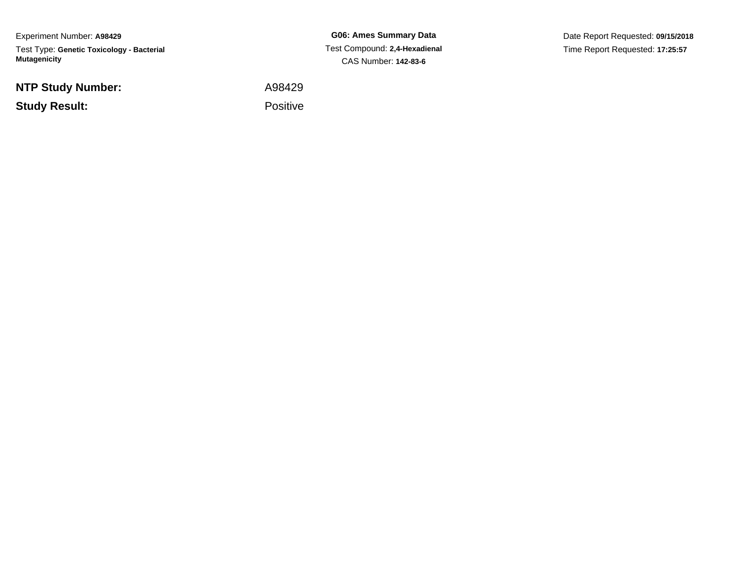Experiment Number: **A98429**Test Type: **Genetic Toxicology - Bacterial Mutagenicity**

**NTP Study Number:**

**Study Result:**

**G06: Ames Summary Data** Test Compound: **2,4-Hexadienal**CAS Number: **142-83-6**

Date Report Requested: **09/15/2018**Time Report Requested: **17:25:57**

A98429

Positive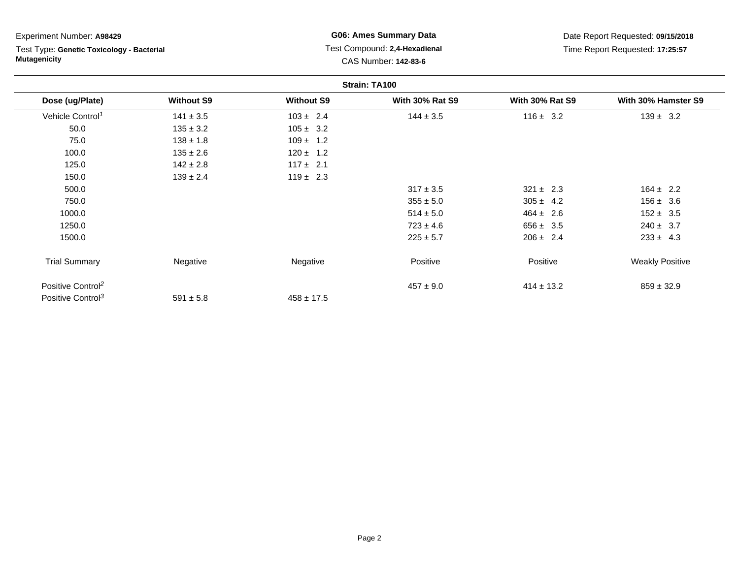| Experiment Number: A98429                                        |                   | <b>G06: Ames Summary Data</b>                         |                        | Date Report Requested: 09/15/2018 |                        |  |  |
|------------------------------------------------------------------|-------------------|-------------------------------------------------------|------------------------|-----------------------------------|------------------------|--|--|
| Test Type: Genetic Toxicology - Bacterial<br><b>Mutagenicity</b> |                   | Test Compound: 2,4-Hexadienal<br>CAS Number: 142-83-6 |                        | Time Report Requested: 17:25:57   |                        |  |  |
| Strain: TA100                                                    |                   |                                                       |                        |                                   |                        |  |  |
| Dose (ug/Plate)                                                  | <b>Without S9</b> | <b>Without S9</b>                                     | <b>With 30% Rat S9</b> | <b>With 30% Rat S9</b>            | With 30% Hamster S9    |  |  |
| Vehicle Control <sup>1</sup>                                     | $141 \pm 3.5$     | $103 \pm 2.4$                                         | $144 \pm 3.5$          | $116 \pm 3.2$                     | $139 \pm 3.2$          |  |  |
| 50.0                                                             | $135 \pm 3.2$     | $105 \pm 3.2$                                         |                        |                                   |                        |  |  |
| 75.0                                                             | $138 \pm 1.8$     | $109 \pm 1.2$                                         |                        |                                   |                        |  |  |
| 100.0                                                            | $135 \pm 2.6$     | $120 \pm 1.2$                                         |                        |                                   |                        |  |  |
| 125.0                                                            | $142 \pm 2.8$     | $117 \pm 2.1$                                         |                        |                                   |                        |  |  |
| 150.0                                                            | $139 \pm 2.4$     | $119 \pm 2.3$                                         |                        |                                   |                        |  |  |
| 500.0                                                            |                   |                                                       | $317 \pm 3.5$          | $321 \pm 2.3$                     | $164 \pm 2.2$          |  |  |
| 750.0                                                            |                   |                                                       | $355 \pm 5.0$          | $305 \pm 4.2$                     | $156 \pm 3.6$          |  |  |
| 1000.0                                                           |                   |                                                       | $514 \pm 5.0$          | $464 \pm 2.6$                     | $152 \pm 3.5$          |  |  |
| 1250.0                                                           |                   |                                                       | $723 \pm 4.6$          | $656 \pm 3.5$                     | $240 \pm 3.7$          |  |  |
| 1500.0                                                           |                   |                                                       | $225 \pm 5.7$          | $206 \pm 2.4$                     | $233 \pm 4.3$          |  |  |
| <b>Trial Summary</b>                                             | Negative          | Negative                                              | Positive               | Positive                          | <b>Weakly Positive</b> |  |  |
| Positive Control <sup>2</sup>                                    |                   |                                                       | $457 \pm 9.0$          | $414 \pm 13.2$                    | $859 \pm 32.9$         |  |  |
| Positive Control <sup>3</sup>                                    | $591 \pm 5.8$     | $458 \pm 17.5$                                        |                        |                                   |                        |  |  |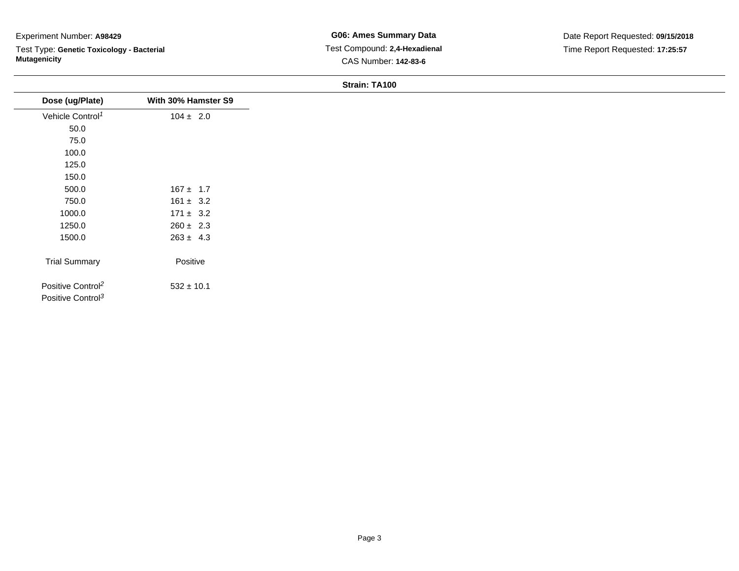## Experiment Number: **A98429**

Test Type: **Genetic Toxicology - Bacterial Mutagenicity**

## **Strain: TA100**

| Dose (ug/Plate)                                                | With 30% Hamster S9 |
|----------------------------------------------------------------|---------------------|
| Vehicle Control <sup>1</sup>                                   | $104 \pm 2.0$       |
| 50.0                                                           |                     |
| 75.0                                                           |                     |
| 100.0                                                          |                     |
| 125.0                                                          |                     |
| 150.0                                                          |                     |
| 500.0                                                          | $167 \pm 1.7$       |
| 750.0                                                          | $161 \pm 3.2$       |
| 1000.0                                                         | $171 \pm 3.2$       |
| 1250.0                                                         | $260 \pm 2.3$       |
| 1500.0                                                         | $263 \pm 4.3$       |
| <b>Trial Summary</b>                                           | Positive            |
| Positive Control <sup>2</sup><br>Positive Control <sup>3</sup> | $532 \pm 10.1$      |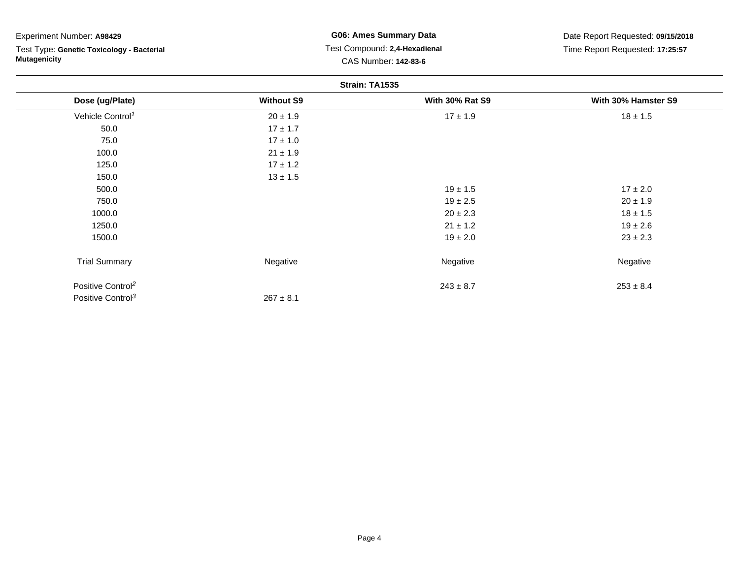| Experiment Number: A98429 |  |  |
|---------------------------|--|--|
|---------------------------|--|--|

Test Type: **Genetic Toxicology - Bacterial Mutagenicity**

## **G06: Ames Summary Data** Test Compound: **2,4-Hexadienal**CAS Number: **142-83-6**

Date Report Requested: **09/15/2018**Time Report Requested: **17:25:57**

| Strain: TA1535                |                   |                        |                     |  |  |
|-------------------------------|-------------------|------------------------|---------------------|--|--|
| Dose (ug/Plate)               | <b>Without S9</b> | <b>With 30% Rat S9</b> | With 30% Hamster S9 |  |  |
| Vehicle Control <sup>1</sup>  | $20 \pm 1.9$      | $17 \pm 1.9$           | $18 \pm 1.5$        |  |  |
| 50.0                          | $17 \pm 1.7$      |                        |                     |  |  |
| 75.0                          | $17 \pm 1.0$      |                        |                     |  |  |
| 100.0                         | $21 \pm 1.9$      |                        |                     |  |  |
| 125.0                         | $17 \pm 1.2$      |                        |                     |  |  |
| 150.0                         | $13 \pm 1.5$      |                        |                     |  |  |
| 500.0                         |                   | $19 \pm 1.5$           | $17 \pm 2.0$        |  |  |
| 750.0                         |                   | $19 \pm 2.5$           | $20 \pm 1.9$        |  |  |
| 1000.0                        |                   | $20 \pm 2.3$           | $18 \pm 1.5$        |  |  |
| 1250.0                        |                   | $21 \pm 1.2$           | $19 \pm 2.6$        |  |  |
| 1500.0                        |                   | $19 \pm 2.0$           | $23 \pm 2.3$        |  |  |
| <b>Trial Summary</b>          | Negative          | Negative               | Negative            |  |  |
| Positive Control <sup>2</sup> |                   | $243 \pm 8.7$          | $253 \pm 8.4$       |  |  |
| Positive Control <sup>3</sup> | $267 \pm 8.1$     |                        |                     |  |  |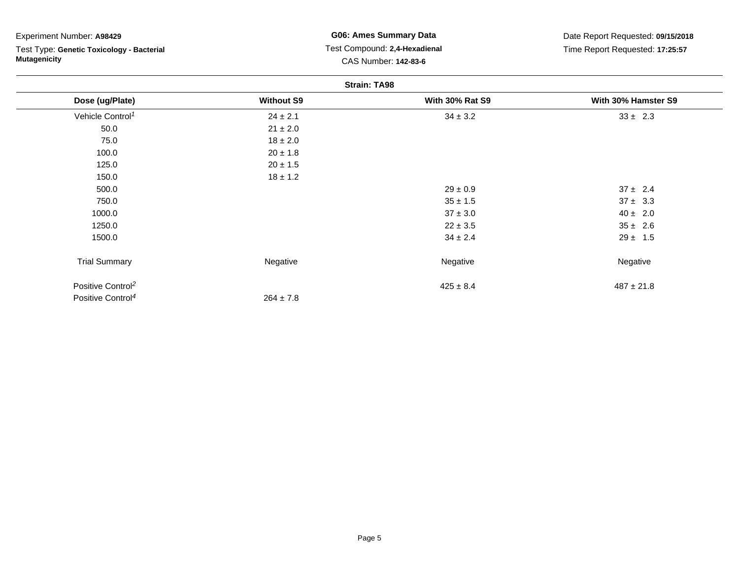| Experiment Number: A98429                 | <b>G06: Ames Summary Data</b><br>Test Compound: 2,4-Hexadienal<br>CAS Number: 142-83-6 |                        | Date Report Requested: 09/15/2018<br>Time Report Requested: 17:25:57 |  |  |  |  |  |
|-------------------------------------------|----------------------------------------------------------------------------------------|------------------------|----------------------------------------------------------------------|--|--|--|--|--|
| Test Type: Genetic Toxicology - Bacterial |                                                                                        |                        |                                                                      |  |  |  |  |  |
| <b>Mutagenicity</b>                       |                                                                                        |                        |                                                                      |  |  |  |  |  |
| <b>Strain: TA98</b>                       |                                                                                        |                        |                                                                      |  |  |  |  |  |
| Dose (ug/Plate)                           | <b>Without S9</b>                                                                      | <b>With 30% Rat S9</b> | With 30% Hamster S9                                                  |  |  |  |  |  |
| Vehicle Control <sup>1</sup>              | $24 \pm 2.1$                                                                           | $34 \pm 3.2$           | $33 \pm 2.3$                                                         |  |  |  |  |  |
| 50.0                                      | $21 \pm 2.0$                                                                           |                        |                                                                      |  |  |  |  |  |
| 75.0                                      | $18 \pm 2.0$                                                                           |                        |                                                                      |  |  |  |  |  |
| 100.0                                     | $20 \pm 1.8$                                                                           |                        |                                                                      |  |  |  |  |  |
| 125.0                                     | $20 \pm 1.5$                                                                           |                        |                                                                      |  |  |  |  |  |
| 150.0                                     | $18 \pm 1.2$                                                                           |                        |                                                                      |  |  |  |  |  |
| 500.0                                     |                                                                                        | $29 \pm 0.9$           | $37 \pm 2.4$                                                         |  |  |  |  |  |
| 750.0                                     |                                                                                        | $35 \pm 1.5$           | $37 \pm 3.3$                                                         |  |  |  |  |  |
| 1000.0                                    |                                                                                        | $37 \pm 3.0$           | $40 \pm 2.0$                                                         |  |  |  |  |  |
| 1250.0                                    |                                                                                        | $22 \pm 3.5$           | $35 \pm 2.6$                                                         |  |  |  |  |  |
| 1500.0                                    |                                                                                        | $34 \pm 2.4$           | $29 \pm 1.5$                                                         |  |  |  |  |  |
| <b>Trial Summary</b>                      | Negative                                                                               | Negative               | Negative                                                             |  |  |  |  |  |
| Positive Control <sup>2</sup>             |                                                                                        | $425 \pm 8.4$          | $487 \pm 21.8$                                                       |  |  |  |  |  |
| Positive Control <sup>4</sup>             | $264 \pm 7.8$                                                                          |                        |                                                                      |  |  |  |  |  |

 $264 \pm 7.8$